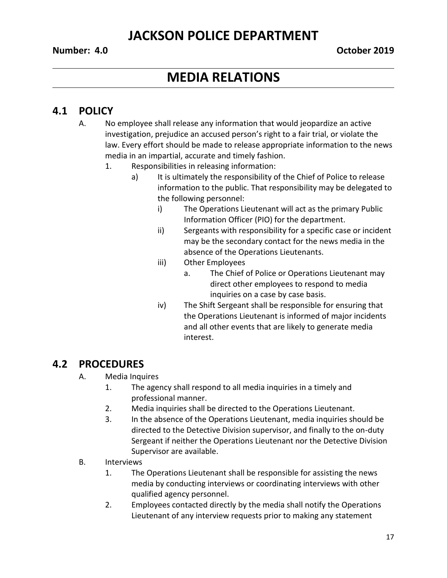### **Number: 4.0 October 2019**

# **MEDIA RELATIONS**

## **4.1 POLICY**

- A. No employee shall release any information that would jeopardize an active investigation, prejudice an accused person's right to a fair trial, or violate the law. Every effort should be made to release appropriate information to the news media in an impartial, accurate and timely fashion.
	- 1. Responsibilities in releasing information:
		- a) It is ultimately the responsibility of the Chief of Police to release information to the public. That responsibility may be delegated to the following personnel:
			- i) The Operations Lieutenant will act as the primary Public Information Officer (PIO) for the department.
			- ii) Sergeants with responsibility for a specific case or incident may be the secondary contact for the news media in the absence of the Operations Lieutenants.
			- iii) Other Employees
				- a. The Chief of Police or Operations Lieutenant may direct other employees to respond to media inquiries on a case by case basis.
			- iv) The Shift Sergeant shall be responsible for ensuring that the Operations Lieutenant is informed of major incidents and all other events that are likely to generate media interest.

## **4.2 PROCEDURES**

- A. Media Inquires
	- 1. The agency shall respond to all media inquiries in a timely and professional manner.
	- 2. Media inquiries shall be directed to the Operations Lieutenant.
	- 3. In the absence of the Operations Lieutenant, media inquiries should be directed to the Detective Division supervisor, and finally to the on-duty Sergeant if neither the Operations Lieutenant nor the Detective Division Supervisor are available.
- B. Interviews
	- 1. The Operations Lieutenant shall be responsible for assisting the news media by conducting interviews or coordinating interviews with other qualified agency personnel.
	- 2. Employees contacted directly by the media shall notify the Operations Lieutenant of any interview requests prior to making any statement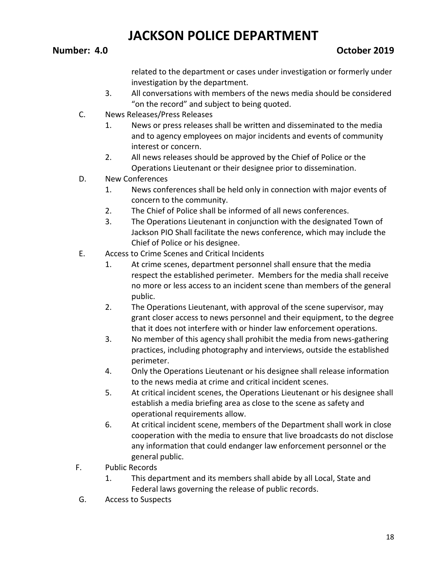related to the department or cases under investigation or formerly under investigation by the department.

- 3. All conversations with members of the news media should be considered "on the record" and subject to being quoted.
- C. News Releases/Press Releases
	- 1. News or press releases shall be written and disseminated to the media and to agency employees on major incidents and events of community interest or concern.
	- 2. All news releases should be approved by the Chief of Police or the Operations Lieutenant or their designee prior to dissemination.
- D. New Conferences
	- 1. News conferences shall be held only in connection with major events of concern to the community.
	- 2. The Chief of Police shall be informed of all news conferences.
	- 3. The Operations Lieutenant in conjunction with the designated Town of Jackson PIO Shall facilitate the news conference, which may include the Chief of Police or his designee.
- E. Access to Crime Scenes and Critical Incidents
	- 1. At crime scenes, department personnel shall ensure that the media respect the established perimeter. Members for the media shall receive no more or less access to an incident scene than members of the general public.
	- 2. The Operations Lieutenant, with approval of the scene supervisor, may grant closer access to news personnel and their equipment, to the degree that it does not interfere with or hinder law enforcement operations.
	- 3. No member of this agency shall prohibit the media from news-gathering practices, including photography and interviews, outside the established perimeter.
	- 4. Only the Operations Lieutenant or his designee shall release information to the news media at crime and critical incident scenes.
	- 5. At critical incident scenes, the Operations Lieutenant or his designee shall establish a media briefing area as close to the scene as safety and operational requirements allow.
	- 6. At critical incident scene, members of the Department shall work in close cooperation with the media to ensure that live broadcasts do not disclose any information that could endanger law enforcement personnel or the general public.
- F. Public Records
	- 1. This department and its members shall abide by all Local, State and Federal laws governing the release of public records.
- G. Access to Suspects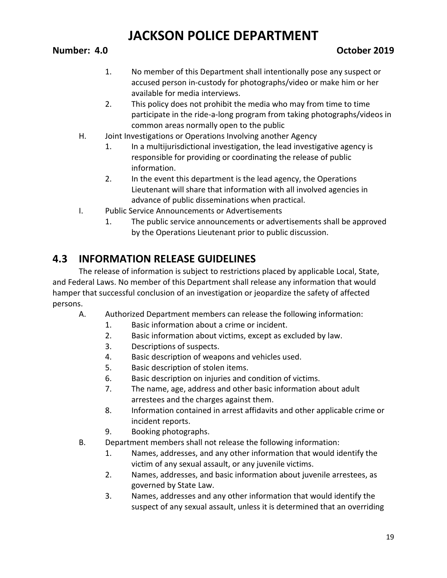### **Number: 4.0 October 2019**

- 1. No member of this Department shall intentionally pose any suspect or accused person in-custody for photographs/video or make him or her available for media interviews.
- 2. This policy does not prohibit the media who may from time to time participate in the ride-a-long program from taking photographs/videos in common areas normally open to the public
- H. Joint Investigations or Operations Involving another Agency
	- 1. In a multijurisdictional investigation, the lead investigative agency is responsible for providing or coordinating the release of public information.
	- 2. In the event this department is the lead agency, the Operations Lieutenant will share that information with all involved agencies in advance of public disseminations when practical.
- I. Public Service Announcements or Advertisements
	- 1. The public service announcements or advertisements shall be approved by the Operations Lieutenant prior to public discussion.

## **4.3 INFORMATION RELEASE GUIDELINES**

The release of information is subject to restrictions placed by applicable Local, State, and Federal Laws. No member of this Department shall release any information that would hamper that successful conclusion of an investigation or jeopardize the safety of affected persons.

- A. Authorized Department members can release the following information:
	- 1. Basic information about a crime or incident.
	- 2. Basic information about victims, except as excluded by law.
	- 3. Descriptions of suspects.
	- 4. Basic description of weapons and vehicles used.
	- 5. Basic description of stolen items.
	- 6. Basic description on injuries and condition of victims.
	- 7. The name, age, address and other basic information about adult arrestees and the charges against them.
	- 8. Information contained in arrest affidavits and other applicable crime or incident reports.
	- 9. Booking photographs.
- B. Department members shall not release the following information:
	- 1. Names, addresses, and any other information that would identify the victim of any sexual assault, or any juvenile victims.
	- 2. Names, addresses, and basic information about juvenile arrestees, as governed by State Law.
	- 3. Names, addresses and any other information that would identify the suspect of any sexual assault, unless it is determined that an overriding